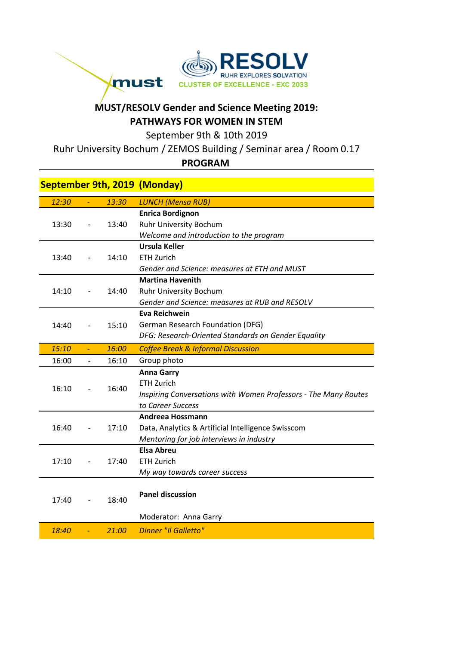

## **MUST/RESOLV Gender and Science Meeting 2019: PATHWAYS FOR WOMEN IN STEM**

September 9th & 10th 2019

Ruhr University Bochum / ZEMOS Building / Seminar area / Room 0.17

## **PROGRAM**

|       |                              |       | <b>September 9th, 2019 (Monday)</b>                             |
|-------|------------------------------|-------|-----------------------------------------------------------------|
| 12:30 | $\equiv$                     | 13:30 | <b>LUNCH (Mensa RUB)</b>                                        |
| 13:30 |                              | 13:40 | <b>Enrica Bordignon</b>                                         |
|       |                              |       | Ruhr University Bochum                                          |
|       |                              |       | Welcome and introduction to the program                         |
| 13:40 |                              | 14:10 | Ursula Keller                                                   |
|       |                              |       | <b>ETH Zurich</b>                                               |
|       |                              |       | Gender and Science: measures at ETH and MUST                    |
| 14:10 |                              | 14:40 | <b>Martina Havenith</b>                                         |
|       |                              |       | Ruhr University Bochum                                          |
|       |                              |       | Gender and Science: measures at RUB and RESOLV                  |
|       |                              | 15:10 | <b>Eva Reichwein</b>                                            |
| 14:40 |                              |       | German Research Foundation (DFG)                                |
|       |                              |       | DFG: Research-Oriented Standards on Gender Equality             |
| 15:10 | $\blacksquare$               | 16:00 | <b>Coffee Break &amp; Informal Discussion</b>                   |
| 16:00 | $\qquad \qquad \blacksquare$ | 16:10 | Group photo                                                     |
|       |                              | 16:40 | <b>Anna Garry</b>                                               |
| 16:10 |                              |       | <b>ETH Zurich</b>                                               |
|       |                              |       | Inspiring Conversations with Women Professors - The Many Routes |
|       |                              |       | to Career Success                                               |
| 16:40 |                              | 17:10 | Andreea Hossmann                                                |
|       |                              |       | Data, Analytics & Artificial Intelligence Swisscom              |
|       |                              |       | Mentoring for job interviews in industry                        |
| 17:10 |                              | 17:40 | <b>Elsa Abreu</b>                                               |
|       |                              |       | <b>ETH Zurich</b>                                               |
|       |                              |       | My way towards career success                                   |
| 17:40 |                              | 18:40 | <b>Panel discussion</b>                                         |
|       |                              |       | Moderator: Anna Garry                                           |
|       |                              |       |                                                                 |
| 18:40 | $\blacksquare$               | 21:00 | <b>Dinner "Il Galletto"</b>                                     |